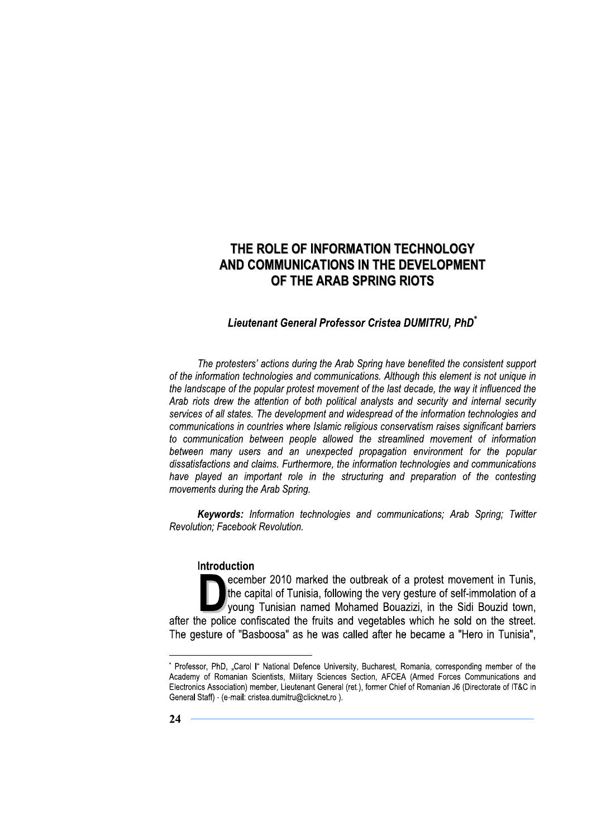## Lieutenant General Professor Cristea DUMITRU. PhD<sup>\*</sup>

The protesters' actions during the Arab Spring have benefited the consistent support of the information technologies and communications. Although this element is not unique in the landscape of the popular protest movement of the last decade, the way it influenced the Arab riots drew the attention of both political analysts and security and internal security services of all states. The development and widespread of the information technologies and communications in countries where Islamic religious conservatism raises significant barriers to communication between people allowed the streamlined movement of information between many users and an unexpected propagation environment for the popular dissatisfactions and claims. Furthermore, the information technologies and communications have played an important role in the structuring and preparation of the contesting movements during the Arab Spring.

Keywords: Information technologies and communications; Arab Spring; Twitter Revolution: Facebook Revolution.

#### **Introduction**

ecember 2010 marked the outbreak of a protest movement in Tunis, the capital of Tunisia, following the very gesture of self-immolation of a young Tunisian named Mohamed Bouazizi, in the Sidi Bouzid town, after the police confiscated the fruits and vegetables which he sold on the street. The gesture of "Basboosa" as he was called after he became a "Hero in Tunisia",

<sup>\*</sup> Professor, PhD, "Carol I" National Defence University, Bucharest, Romania, corresponding member of the Academy of Romanian Scientists, Military Sciences Section, AFCEA (Armed Forces Communications and Electronics Association) member, Lieutenant General (ret.), former Chief of Romanian J6 (Directorate of IT&C in General Staff) - (e-mail: cristea.dumitru@clicknet.ro).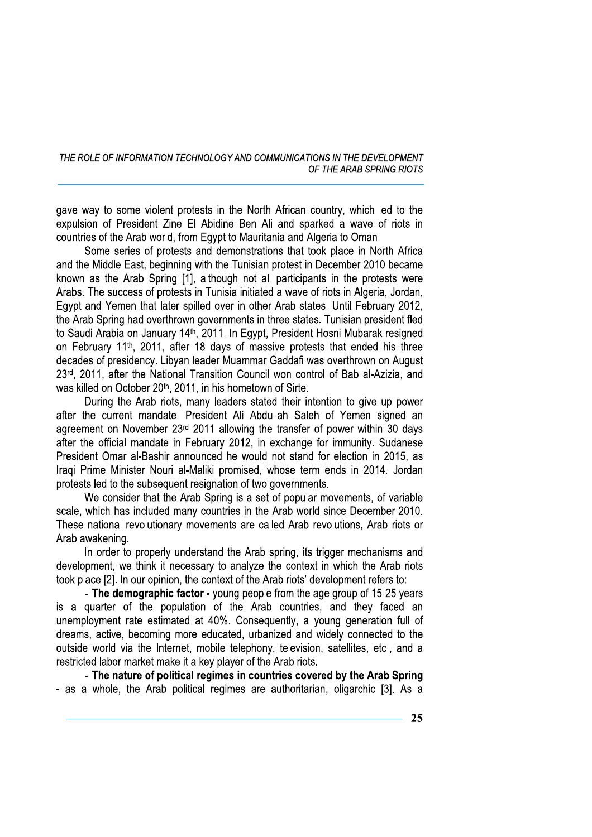gave way to some violent protests in the North African country, which led to the expulsion of President Zine El Abidine Ben Ali and sparked a wave of riots in countries of the Arab world, from Egypt to Mauritania and Algeria to Oman.

Some series of protests and demonstrations that took place in North Africa and the Middle East, beginning with the Tunisian protest in December 2010 became known as the Arab Spring [1], although not all participants in the protests were Arabs. The success of protests in Tunisia initiated a wave of riots in Algeria, Jordan, Egypt and Yemen that later spilled over in other Arab states. Until February 2012, the Arab Spring had overthrown governments in three states. Tunisian president fled to Saudi Arabia on January 14<sup>th</sup>, 2011. In Egypt, President Hosni Mubarak resigned on February 11<sup>th</sup>, 2011, after 18 days of massive protests that ended his three decades of presidency. Libyan leader Muammar Gaddafi was overthrown on August 23rd, 2011, after the National Transition Council won control of Bab al-Azizia, and was killed on October 20<sup>th</sup>, 2011, in his hometown of Sirte.

During the Arab riots, many leaders stated their intention to give up power after the current mandate. President Ali Abdullah Saleh of Yemen signed an agreement on November 23rd 2011 allowing the transfer of power within 30 days after the official mandate in February 2012, in exchange for immunity. Sudanese President Omar al-Bashir announced he would not stand for election in 2015, as Iraqi Prime Minister Nouri al-Maliki promised, whose term ends in 2014. Jordan protests led to the subsequent resignation of two governments.

We consider that the Arab Spring is a set of popular movements, of variable scale, which has included many countries in the Arab world since December 2010. These national revolutionary movements are called Arab revolutions, Arab riots or Arab awakening.

In order to properly understand the Arab spring, its trigger mechanisms and development, we think it necessary to analyze the context in which the Arab riots took place [2]. In our opinion, the context of the Arab riots' development refers to:

- The demographic factor - young people from the age group of 15-25 years is a quarter of the population of the Arab countries, and they faced an unemployment rate estimated at 40%. Consequently, a young generation full of dreams, active, becoming more educated, urbanized and widely connected to the outside world via the Internet, mobile telephony, television, satellites, etc., and a restricted labor market make it a key player of the Arab riots.

- The nature of political regimes in countries covered by the Arab Spring - as a whole, the Arab political regimes are authoritarian, oligarchic [3]. As a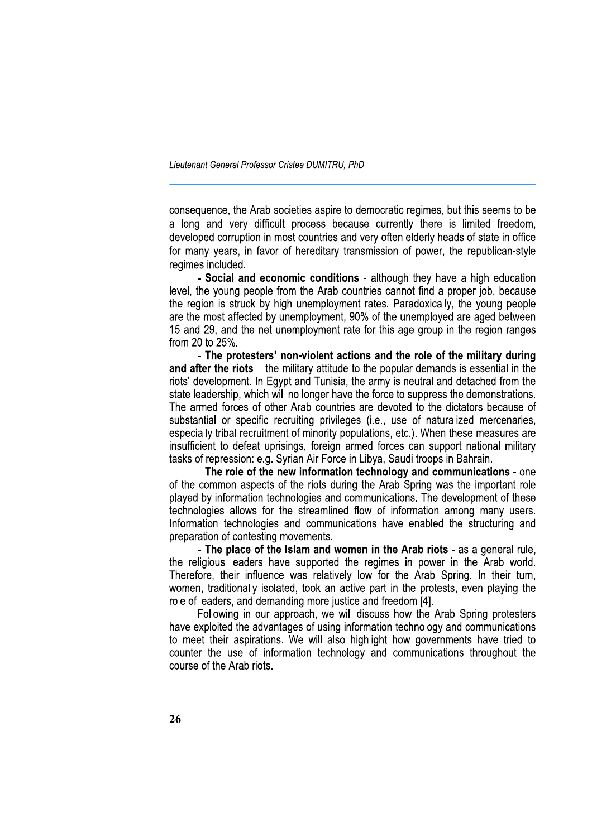Lieutenant General Professor Cristea DUMITRU, PhD

consequence, the Arab societies aspire to democratic regimes, but this seems to be a long and very difficult process because currently there is limited freedom. developed corruption in most countries and very often elderly heads of state in office for many years, in favor of hereditary transmission of power, the republican-style regimes included.

- Social and economic conditions - although they have a high education level, the young people from the Arab countries cannot find a proper job, because the region is struck by high unemployment rates. Paradoxically, the young people are the most affected by unemployment, 90% of the unemployed are aged between 15 and 29, and the net unemployment rate for this age group in the region ranges from 20 to 25%.

- The protesters' non-violent actions and the role of the military during and after the riots – the military attitude to the popular demands is essential in the riots' development. In Egypt and Tunisia, the army is neutral and detached from the state leadership, which will no longer have the force to suppress the demonstrations. The armed forces of other Arab countries are devoted to the dictators because of substantial or specific recruiting privileges (i.e., use of naturalized mercenaries, especially tribal recruitment of minority populations, etc.). When these measures are insufficient to defeat uprisings, foreign armed forces can support national military tasks of repression: e.g. Syrian Air Force in Libya, Saudi troops in Bahrain.

- The role of the new information technology and communications - one of the common aspects of the riots during the Arab Spring was the important role played by information technologies and communications. The development of these technologies allows for the streamlined flow of information among many users. Information technologies and communications have enabled the structuring and preparation of contesting movements.

- The place of the Islam and women in the Arab riots - as a general rule. the religious leaders have supported the regimes in power in the Arab world. Therefore, their influence was relatively low for the Arab Spring. In their turn, women, traditionally isolated, took an active part in the protests, even playing the role of leaders, and demanding more justice and freedom [4].

Following in our approach, we will discuss how the Arab Spring protesters have exploited the advantages of using information technology and communications to meet their aspirations. We will also highlight how governments have tried to counter the use of information technology and communications throughout the course of the Arab riots.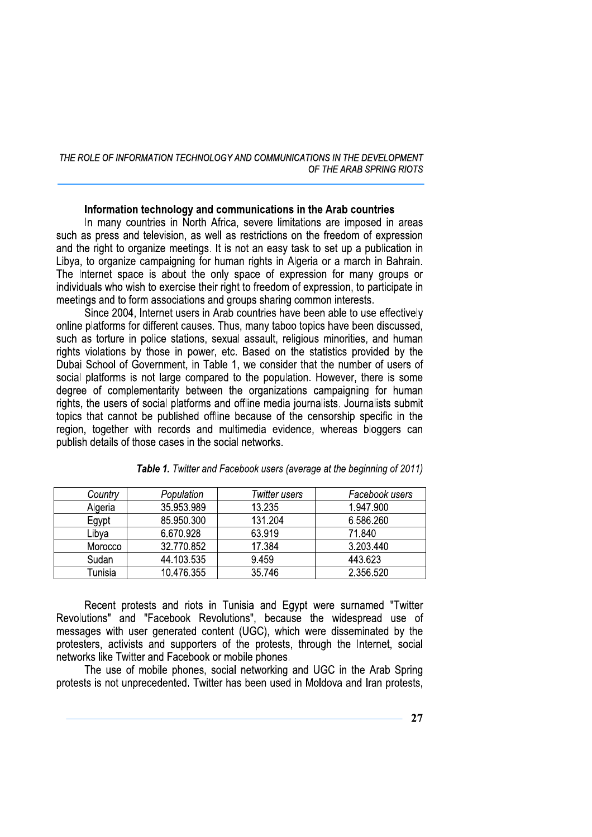#### Information technology and communications in the Arab countries

In many countries in North Africa, severe limitations are imposed in areas such as press and television, as well as restrictions on the freedom of expression and the right to organize meetings. It is not an easy task to set up a publication in Libya, to organize campaigning for human rights in Algeria or a march in Bahrain. The Internet space is about the only space of expression for many groups or individuals who wish to exercise their right to freedom of expression, to participate in meetings and to form associations and groups sharing common interests.

Since 2004, Internet users in Arab countries have been able to use effectively online platforms for different causes. Thus, many taboo topics have been discussed. such as torture in police stations, sexual assault, religious minorities, and human rights violations by those in power, etc. Based on the statistics provided by the Dubai School of Government, in Table 1, we consider that the number of users of social platforms is not large compared to the population. However, there is some degree of complementarity between the organizations campaigning for human rights, the users of social platforms and offline media journalists. Journalists submit topics that cannot be published offline because of the censorship specific in the region, together with records and multimedia evidence, whereas bloggers can publish details of those cases in the social networks.

| Country | Population | Twitter users | Facebook users |
|---------|------------|---------------|----------------|
| Algeria | 35.953.989 | 13.235        | 1.947.900      |
| Egypt   | 85.950.300 | 131.204       | 6.586.260      |
| Libya   | 6.670.928  | 63.919        | 71.840         |
| Morocco | 32.770.852 | 17.384        | 3.203.440      |
| Sudan   | 44.103.535 | 9.459         | 443.623        |
| Tunisia | 10.476.355 | 35.746        | 2.356.520      |

| Table 1. Twitter and Facebook users (average at the beginning of 2011) |  |  |
|------------------------------------------------------------------------|--|--|
|------------------------------------------------------------------------|--|--|

Recent protests and riots in Tunisia and Eqvpt were surnamed "Twitter Revolutions" and "Facebook Revolutions", because the widespread use of messages with user generated content (UGC), which were disseminated by the protesters, activists and supporters of the protests, through the Internet, social networks like Twitter and Facebook or mobile phones.

The use of mobile phones, social networking and UGC in the Arab Spring protests is not unprecedented. Twitter has been used in Moldova and Iran protests,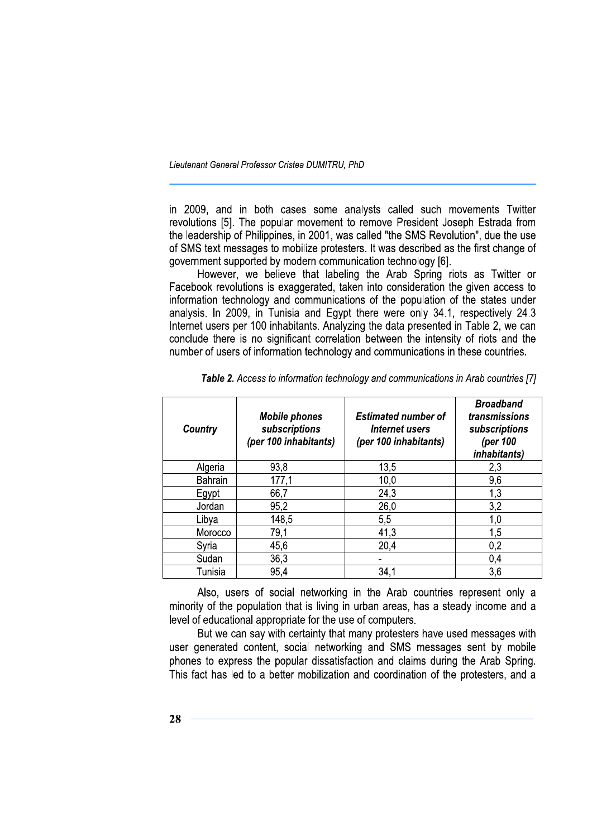Lieutenant General Professor Cristea DUMITRU, PhD

in 2009, and in both cases some analysts called such movements Twitter revolutions [5]. The popular movement to remove President Joseph Estrada from the leadership of Philippines, in 2001, was called "the SMS Revolution", due the use of SMS text messages to mobilize protesters. It was described as the first change of government supported by modern communication technology [6].

However, we believe that labeling the Arab Spring riots as Twitter or Facebook revolutions is exaggerated, taken into consideration the given access to information technology and communications of the population of the states under analysis. In 2009, in Tunisia and Egypt there were only 34.1, respectively 24.3 Internet users per 100 inhabitants. Analyzing the data presented in Table 2, we can conclude there is no significant correlation between the intensity of riots and the number of users of information technology and communications in these countries.

| Country        | <b>Mobile phones</b><br>subscriptions<br>(per 100 inhabitants) | <b>Estimated number of</b><br>Internet users<br>(per 100 inhabitants) | <b>Broadband</b><br>transmissions<br>subscriptions<br>(per 100<br><i>inhabitants)</i> |
|----------------|----------------------------------------------------------------|-----------------------------------------------------------------------|---------------------------------------------------------------------------------------|
| Algeria        | 93,8                                                           | 13,5                                                                  | 2,3                                                                                   |
| <b>Bahrain</b> | 177,1                                                          | 10,0                                                                  | 9,6                                                                                   |
| Egypt          | 66,7                                                           | 24,3                                                                  | 1,3                                                                                   |
| Jordan         | 95,2                                                           | 26,0                                                                  | 3,2                                                                                   |
| Libya          | 148,5                                                          | 5,5                                                                   | 1,0                                                                                   |
| Morocco        | 79,1                                                           | 41,3                                                                  | 1,5                                                                                   |
| Syria          | 45,6                                                           | 20,4                                                                  | 0,2                                                                                   |
| Sudan          | 36,3                                                           |                                                                       | 0,4                                                                                   |
| Tunisia        | 95,4                                                           | 34,1                                                                  | 3,6                                                                                   |

Table 2. Access to information technology and communications in Arab countries [7]

Also, users of social networking in the Arab countries represent only a minority of the population that is living in urban areas, has a steady income and a level of educational appropriate for the use of computers.

But we can say with certainty that many protesters have used messages with user generated content, social networking and SMS messages sent by mobile phones to express the popular dissatisfaction and claims during the Arab Spring. This fact has led to a better mobilization and coordination of the protesters, and a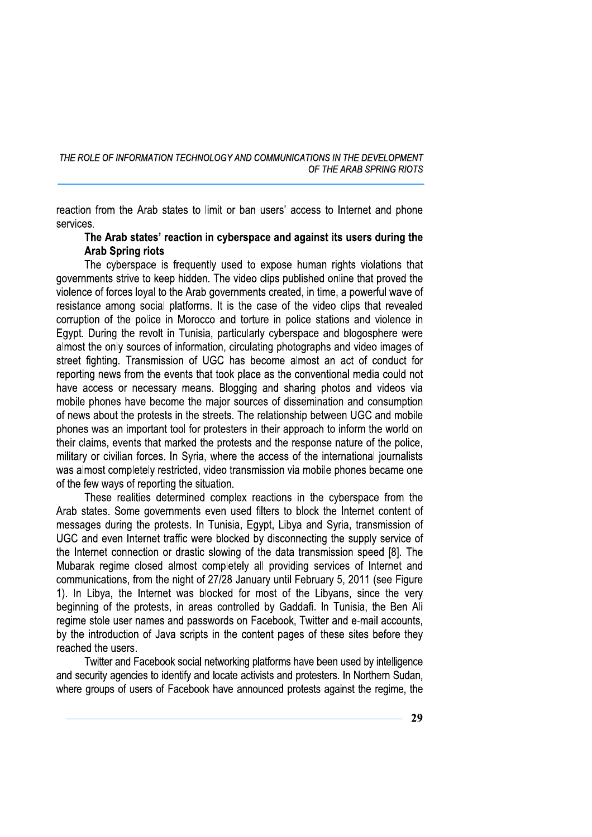reaction from the Arab states to limit or ban users' access to Internet and phone services.

### The Arab states' reaction in cyberspace and against its users during the **Arab Spring riots**

The cyberspace is frequently used to expose human rights violations that governments strive to keep hidden. The video clips published online that proved the violence of forces loyal to the Arab governments created, in time, a powerful wave of resistance among social platforms. It is the case of the video clips that revealed corruption of the police in Morocco and torture in police stations and violence in Egypt. During the revolt in Tunisia, particularly cyberspace and blogosphere were almost the only sources of information, circulating photographs and video images of street fighting. Transmission of UGC has become almost an act of conduct for reporting news from the events that took place as the conventional media could not have access or necessary means. Blogging and sharing photos and videos via mobile phones have become the major sources of dissemination and consumption of news about the protests in the streets. The relationship between UGC and mobile phones was an important tool for protesters in their approach to inform the world on their claims, events that marked the protests and the response nature of the police, military or civilian forces. In Syria, where the access of the international journalists was almost completely restricted, video transmission via mobile phones became one of the few ways of reporting the situation.

These realities determined complex reactions in the cyberspace from the Arab states. Some governments even used filters to block the Internet content of messages during the protests. In Tunisia, Egypt, Libya and Syria, transmission of UGC and even Internet traffic were blocked by disconnecting the supply service of the Internet connection or drastic slowing of the data transmission speed [8]. The Mubarak regime closed almost completely all providing services of Internet and communications, from the night of 27/28 January until February 5, 2011 (see Figure 1). In Libya, the Internet was blocked for most of the Libyans, since the very beginning of the protests, in areas controlled by Gaddafi. In Tunisia, the Ben Ali regime stole user names and passwords on Facebook, Twitter and e-mail accounts, by the introduction of Java scripts in the content pages of these sites before they reached the users.

Twitter and Facebook social networking platforms have been used by intelligence and security agencies to identify and locate activists and protesters. In Northern Sudan, where groups of users of Facebook have announced protests against the regime, the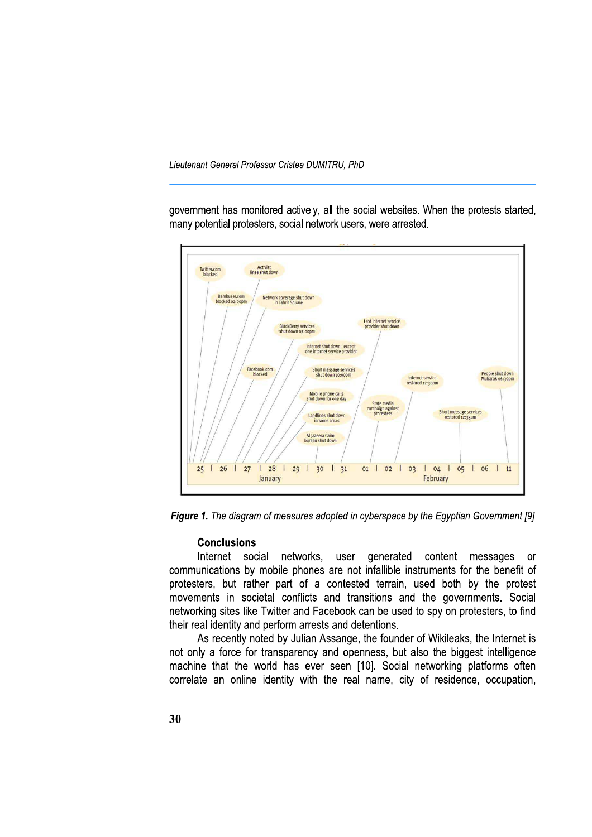Lieutenant General Professor Cristea DUMITRU, PhD

government has monitored actively, all the social websites. When the protests started, many potential protesters, social network users, were arrested.



Figure 1. The diagram of measures adopted in cyberspace by the Egyptian Government [9]

#### **Conclusions**

Internet social networks, user generated content messages **or** communications by mobile phones are not infallible instruments for the benefit of protesters, but rather part of a contested terrain, used both by the protest movements in societal conflicts and transitions and the governments. Social networking sites like Twitter and Facebook can be used to spy on protesters, to find their real identity and perform arrests and detentions.

As recently noted by Julian Assange, the founder of Wikileaks, the Internet is not only a force for transparency and openness, but also the biggest intelligence machine that the world has ever seen [10]. Social networking platforms often correlate an online identity with the real name, city of residence, occupation,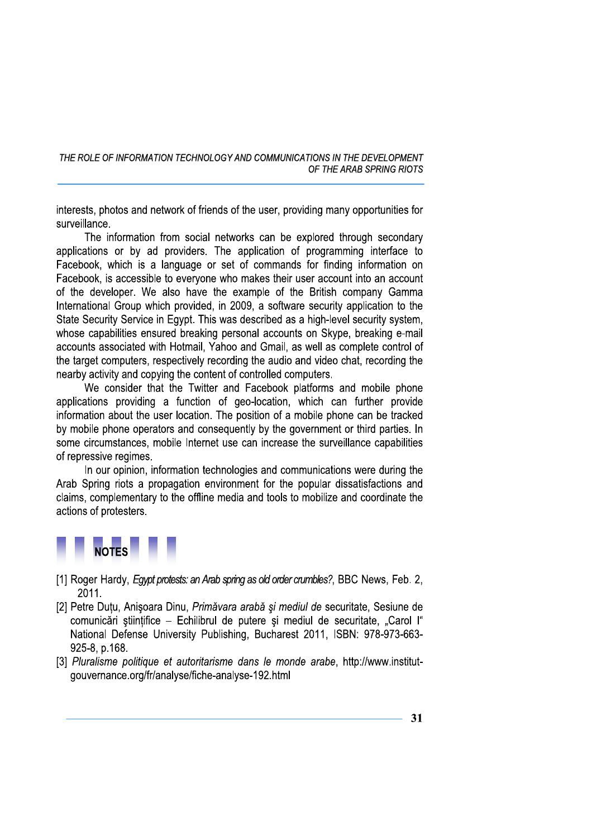interests, photos and network of friends of the user, providing many opportunities for surveillance.

The information from social networks can be explored through secondary applications or by ad providers. The application of programming interface to Facebook, which is a language or set of commands for finding information on Facebook, is accessible to everyone who makes their user account into an account of the developer. We also have the example of the British company Gamma International Group which provided, in 2009, a software security application to the State Security Service in Egypt. This was described as a high-level security system, whose capabilities ensured breaking personal accounts on Skype, breaking e-mail accounts associated with Hotmail, Yahoo and Gmail, as well as complete control of the target computers, respectively recording the audio and video chat, recording the nearby activity and copying the content of controlled computers.

We consider that the Twitter and Facebook platforms and mobile phone applications providing a function of geo-location, which can further provide information about the user location. The position of a mobile phone can be tracked by mobile phone operators and consequently by the government or third parties. In some circumstances, mobile Internet use can increase the surveillance capabilities of repressive regimes.

In our opinion, information technologies and communications were during the Arab Spring riots a propagation environment for the popular dissatisfactions and claims, complementary to the offline media and tools to mobilize and coordinate the actions of protesters.



- [1] Roger Hardy, Egypt protests: an Arab spring as old order crumbles?, BBC News, Feb. 2, 2011.
- [2] Petre Dutu, Anișoara Dinu, Primăvara arabă și mediul de securitate, Sesiune de comunicări științifice - Echilibrul de putere și mediul de securitate, "Carol I" National Defense University Publishing, Bucharest 2011, ISBN: 978-973-663-925-8, p.168.
- [3] Pluralisme politique et autoritarisme dans le monde arabe, http://www.institutgouvernance.org/fr/analyse/fiche-analyse-192.html